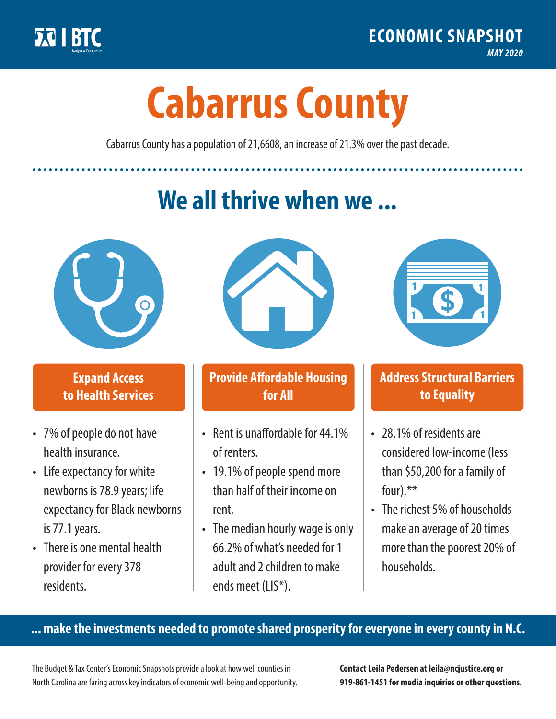

**1**

# **Cabarrus County**

Cabarrus County has a population of 21,6608, an increase of 21.3% over the past decade.

# **We all thrive when we ...**



**\$ <sup>1</sup>**

**\$ <sup>1</sup>**

## **Expand Access to Health Services**

- 7% of people do not have health insurance.
- Life expectancy for white newborns is 78.9 years; life expectancy for Black newborns is 77.1years.
- There is one mental health provider for every 378 residents.



## **Provide Affordable Housing for All**

- Rent is unaffordable for 44 1% of renters.
- 19.1% of people spend more than half of their income on rent.
- The median hourly wage is only 66.2% of what's needed for 1 adult and 2 children to make ends meet (LIS\*).



## **Address Structural Barriers to Equality**

- 28.1% of residents are considered low-income (less than \$50,200 for a family of four).\*\*
- The richest 5% of households make an average of 20 times more than the poorest 20% of households.

#### **... make the investments needed to promote shared prosperity for everyone in every county in N.C.**

The Budget & Tax Center's Economic Snapshots provide a look at how well counties in North Carolina are faring across key indicators of economic well-being and opportunity.